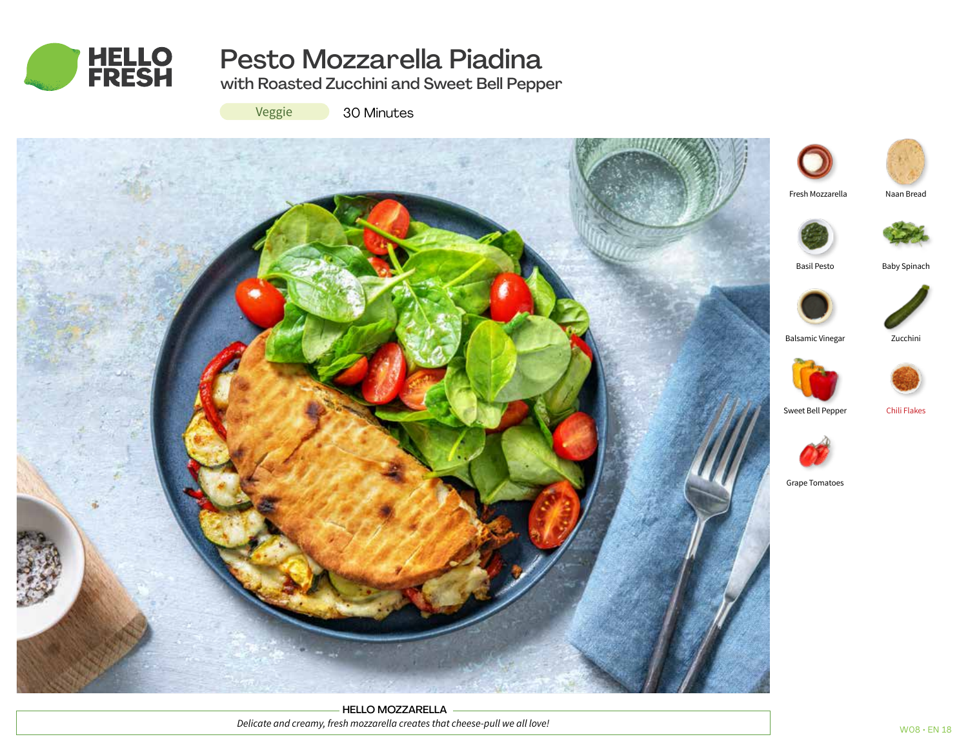

# Pesto Mozzarella Piadina

with Roasted Zucchini and Sweet Bell Pepper

Veggie

30 Minutes